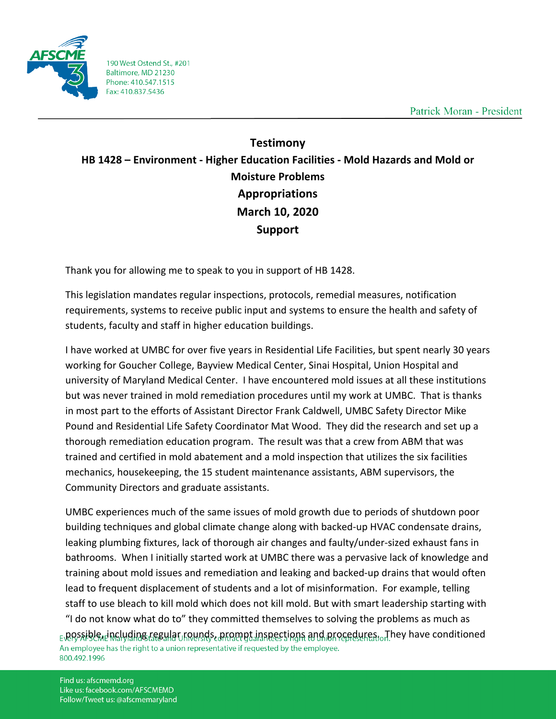

190 West Ostend St., #201 Baltimore, MD 21230 Phone: 410.547.1515 Fax: 410.837.5436

Patrick Moran - President

## **Testimony HB 1428 – Environment - Higher Education Facilities - Mold Hazards and Mold or Moisture Problems Appropriations March 10, 2020 Support**

Thank you for allowing me to speak to you in support of HB 1428.

This legislation mandates regular inspections, protocols, remedial measures, notification requirements, systems to receive public input and systems to ensure the health and safety of students, faculty and staff in higher education buildings.

I have worked at UMBC for over five years in Residential Life Facilities, but spent nearly 30 years working for Goucher College, Bayview Medical Center, Sinai Hospital, Union Hospital and university of Maryland Medical Center. I have encountered mold issues at all these institutions but was never trained in mold remediation procedures until my work at UMBC. That is thanks in most part to the efforts of Assistant Director Frank Caldwell, UMBC Safety Director Mike Pound and Residential Life Safety Coordinator Mat Wood. They did the research and set up a thorough remediation education program. The result was that a crew from ABM that was trained and certified in mold abatement and a mold inspection that utilizes the six facilities mechanics, housekeeping, the 15 student maintenance assistants, ABM supervisors, the Community Directors and graduate assistants.

UMBC experiences much of the same issues of mold growth due to periods of shutdown poor building techniques and global climate change along with backed-up HVAC condensate drains, leaking plumbing fixtures, lack of thorough air changes and faulty/under-sized exhaust fans in bathrooms. When I initially started work at UMBC there was a pervasive lack of knowledge and training about mold issues and remediation and leaking and backed-up drains that would often lead to frequent displacement of students and a lot of misinformation. For example, telling staff to use bleach to kill mold which does not kill mold. But with smart leadership starting with "I do not know what do to" they committed themselves to solving the problems as much as E\possible, including regular rounds, prompt inspections and procedures. They have conditioned An employee has the right to a union representative if requested by the employee. 800.492.1996